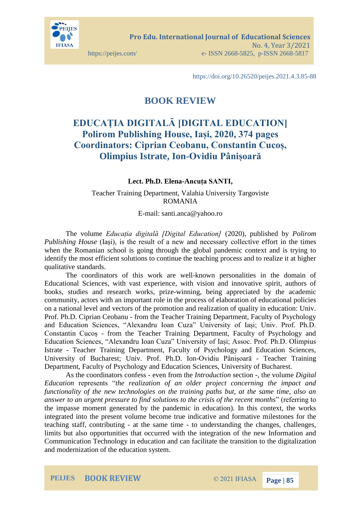

https://doi.org/10.26520/peijes.2021.4.3.85-88

## **BOOK REVIEW**

## **EDUCAȚIA DIGITALĂ [DIGITAL EDUCATION] Polirom Publishing House, Iași, 2020, 374 pages Coordinators: Ciprian Ceobanu, Constantin Cucoș, Olimpius Istrate, Ion-Ovidiu Pânișoară**

## **Lect. Ph.D. Elena-Ancuța SANTI,**

Teacher Training Department, Valahia University Targoviste ROMANIA

E-mail: santi.anca@yahoo.ro

The volume *Educația digitală [Digital Education]* (2020), published by *Polirom Publishing House* (Iasi), is the result of a new and necessary collective effort in the times when the Romanian school is going through the global pandemic context and is trying to identify the most efficient solutions to continue the teaching process and to realize it at higher qualitative standards.

The coordinators of this work are well-known personalities in the domain of Educational Sciences, with vast experience, with vision and innovative spirit, authors of books, studies and research works, prize-winning, being appreciated by the academic community, actors with an important role in the process of elaboration of educational policies on a national level and vectors of the promotion and realization of quality in education: Univ. Prof. Ph.D. Ciprian Ceobanu - from the Teacher Training Department, Faculty of Psychology and Education Sciences, "Alexandru Ioan Cuza" University of Iași; Univ. Prof. Ph.D. Constantin Cucoș - from the Teacher Training Department, Faculty of Psychology and Education Sciences, "Alexandru Ioan Cuza" University of Iași; Assoc. Prof. Ph.D. Olimpius Istrate - Teacher Training Department, Faculty of Psychology and Education Sciences, University of Bucharest; Univ. Prof. Ph.D. Ion-Ovidiu Pânișoară - Teacher Training Department, Faculty of Psychology and Education Sciences, University of Bucharest.

As the coordinators confess - even from the *Introduction* section -, the volume *Digital Education* represents "*the realization of an older project concerning the impact and functionality of the new technologies on the training paths but, at the same time, also an answer to an urgent pressure to find solutions to the crisis of the recent months*" (referring to the impasse moment generated by the pandemic in education). In this context, the works integrated into the present volume become true indicative and formative milestones for the teaching staff, contributing - at the same time - to understanding the changes, challenges, limits but also opportunities that occurred with the integration of the new Information and Communication Technology in education and can facilitate the transition to the digitalization and modernization of the education system.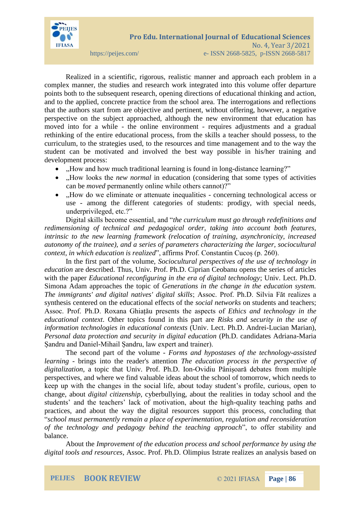

Realized in a scientific, rigorous, realistic manner and approach each problem in a complex manner, the studies and research work integrated into this volume offer departure points both to the subsequent research, opening directions of educational thinking and action, and to the applied, concrete practice from the school area. The interrogations and reflections that the authors start from are objective and pertinent, without offering, however, a negative perspective on the subject approached, although the new environment that education has moved into for a while - the online environment - requires adjustments and a gradual rethinking of the entire educational process, from the skills a teacher should possess, to the curriculum, to the strategies used, to the resources and time management and to the way the student can be motivated and involved the best way possible in his/her training and development process:

- "How and how much traditional learning is found in long-distance learning?"
- .How looks the *new normal* in education (considering that some types of activities can be *moved* permanently online while others cannot)?"
- "How do we eliminate or attenuate inequalities concerning technological access or use - among the different categories of students: prodigy, with special needs, underprivileged, etc.?"

Digital skills become essential, and "*the curriculum must go through redefinitions and redimensioning of technical and pedagogical order, taking into account both features, intrinsic to the new learning framework (relocation of training, asynchronicity, increased autonomy of the trainee), and a series of parameters characterizing the larger, sociocultural context, in which education is realized*", affirms Prof. Constantin Cucoș (p. 260).

In the first part of the volume, *Sociocultural perspectives of the use of technology in education* are described. Thus, Univ. Prof. Ph.D. Ciprian Ceobanu opens the series of articles with the paper *Educational reconfiguring in the era of digital technology*; Univ. Lect. Ph.D. Simona Adam approaches the topic of *Generations in the change in the education system. The immigrants' and digital natives' digital skills*; Assoc. Prof. Ph.D. Silvia Făt realizes a synthesis centered on the educational effects of the *social networks* on students and teachers; Assoc. Prof. Ph.D. Roxana Ghiațău presents the aspects of *Ethics and technology in the educational context*. Other topics found in this part are *Risks and security in the use of information technologies in educational contexts* (Univ. Lect. Ph.D. Andrei-Lucian Marian), *Personal data protection and security in digital education* (Ph.D. candidates Adriana-Maria Șandru and Daniel-Mihail Șandru, law expert and trainer).

The second part of the volume *- Forms and hypostases of the technology-assisted learning -* brings into the reader's attention *The education process in the perspective of digitalization*, a topic that Univ. Prof. Ph.D. Ion-Ovidiu Pânișoară debates from multiple perspectives, and where we find valuable ideas about the school of tomorrow, which needs to keep up with the changes in the social life, about today student's profile, curious, open to change, about *digital citizenship*, cyberbullying, about the realities in today school and the students' and the teachers' lack of motivation, about the high-quality teaching paths and practices, and about the way the digital resources support this process, concluding that "*school must permanently remain a place of experimentation, regulation and reconsideration of the technology and pedagogy behind the teaching approach*", to offer stability and balance.

About the *Improvement of the education process and school performance by using the digital tools and resources*, Assoc. Prof. Ph.D. Olimpius Istrate realizes an analysis based on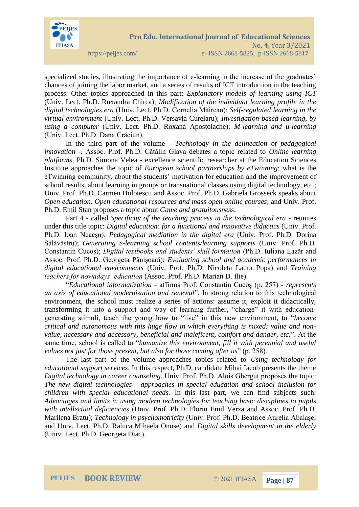

specialized studies, illustrating the importance of e-learning in the increase of the graduates' chances of joining the labor market, and a series of results of ICT introduction in the teaching process. Other topics approached in this part: *Explanatory models of learning using ICT* (Univ. Lect. Ph.D. Ruxandra Chirca); *Modification of the individual learning profile in the digital technologies era* (Univ. Lect. Ph.D. Cornelia Măirean); *Self-regulated learning in the virtual environment* (Univ. Lect. Ph.D. Versavia Curelaru); *Investigation-based learning, by using a computer* (Univ. Lect. Ph.D. Roxana Apostolache); *M-learning and u-learning* (Univ. Lect. Ph.D. Dana Crăciun).

In the third part of the volume - *Technology in the delineation of pedagogical innovation* -, Assoc. Prof. Ph.D. Cătălin Glava debates a topic related to *Online learning platforms*, Ph.D. Simona Velea - excellence scientific researcher at the Education Sciences Institute approaches the topic of *European school partnerships by eTwinning*: what is the eTwinning community, about the students' motivation for education and the improvement of school results, about learning in groups or transnational classes using digital technology, etc.; Univ. Prof. Ph.D. Carmen Holotescu and Assoc. Prof. Ph.D. Gabriela Grosseck speaks about *Open education. Open educational resources and mass open online courses*, and Univ. Prof. Ph.D. Emil Stan proposes a topic about *Game and gratuitousness*.

Part 4 - called *Specificity of the teaching process in the technological era* - reunites under this title topic: *Digital education: for a functional and innovative didactics* (Univ. Prof. Ph.D. Ioan Neacșu); *Pedagogical mediation in the digital era* (Univ. Prof. Ph.D. Dorina Sălăvăstru); *Generating e-learning school contents/learning supports* (Univ. Prof. Ph.D. Constantin Cucoș); *Digital textbooks and students' skill formation* (Ph.D. Iuliana Lazăr and Assoc. Prof. Ph.D. Georgeta Pânișoară); *Evaluating school and academic performances in digital educational environments* (Univ. Prof. Ph.D. Nicoleta Laura Popa) and *Training teachers for nowadays' education* (Assoc. Prof. Ph.D. Marian D. Ilie).

"*Educational informatization* - affirms Prof. Constantin Cucoș (p. 257) - *represents an axis of educational modernization and renewal*". In strong relation to this technological environment, the school must realize a series of actions: assume it, exploit it didactically, transforming it into a support and way of learning further, "charge" it with educationgenerating stimuli, teach the young how to "live" in this new environment, to "*become critical and autonomous with this huge flow in which everything is mixed: value and nonvalue, necessary and accessory, beneficial and maleficent, comfort and danger, etc.*". At the same time, school is called to "*humanize this environment, fill it with perennial and useful values not just for those present, but also for those coming after us*" (p. 258).

The last part of the volume approaches topics related to *Using technology for educational support services*. In this respect, Ph.D. candidate Mihai Iacob presents the theme *Digital technology in career counseling*, Univ. Prof. Ph.D. Alois Gherguț proposes the topic: *The new digital technologies - approaches in special education and school inclusion for children with special educational needs.* In this last part, we can find subjects such: *Advantages and limits in using modern technologies for teaching basic disciplines to pupils with intellectual deficiencies* (Univ. Prof. Ph.D. Florin Emil Verza and Assoc. Prof. Ph.D. Marilena Bratu); *Technology in psychomotricity* (Univ. Prof. Ph.D. Beatrice Aurelia Abalașei and Univ. Lect. Ph.D. Raluca Mihaela Onose) and *Digital skills development in the elderly* (Univ. Lect. Ph.D. Georgeta Diac).